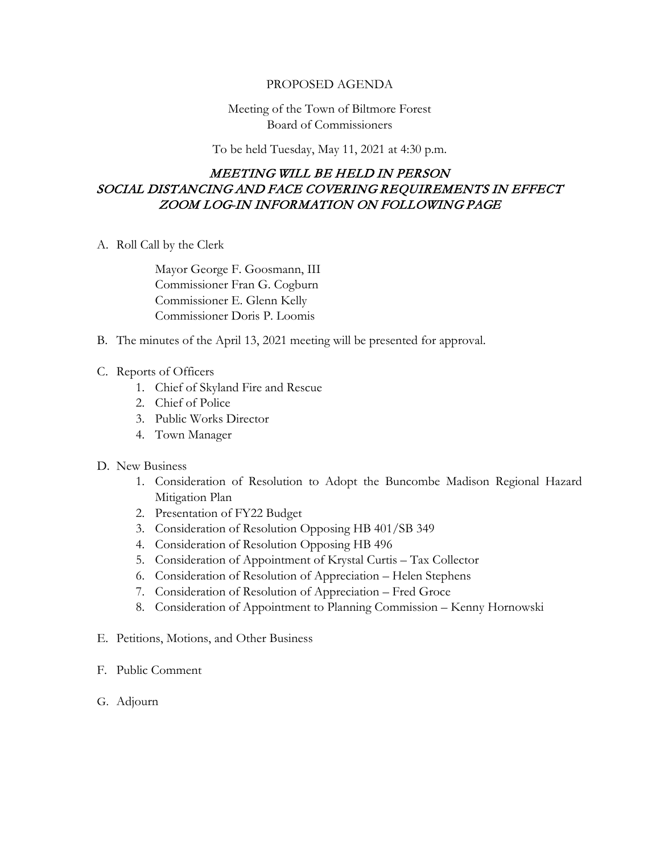## PROPOSED AGENDA

## Meeting of the Town of Biltmore Forest Board of Commissioners

To be held Tuesday, May 11, 2021 at 4:30 p.m.

## MEETING WILL BE HELD IN PERSON SOCIAL DISTANCING AND FACE COVERING REQUIREMENTS IN EFFECT ZOOM LOG-IN INFORMATION ON FOLLOWING PAGE

A. Roll Call by the Clerk

Mayor George F. Goosmann, III Commissioner Fran G. Cogburn Commissioner E. Glenn Kelly Commissioner Doris P. Loomis

- B. The minutes of the April 13, 2021 meeting will be presented for approval.
- C. Reports of Officers
	- 1. Chief of Skyland Fire and Rescue
	- 2. Chief of Police
	- 3. Public Works Director
	- 4. Town Manager

## D. New Business

- 1. Consideration of Resolution to Adopt the Buncombe Madison Regional Hazard Mitigation Plan
- 2. Presentation of FY22 Budget
- 3. Consideration of Resolution Opposing HB 401/SB 349
- 4. Consideration of Resolution Opposing HB 496
- 5. Consideration of Appointment of Krystal Curtis Tax Collector
- 6. Consideration of Resolution of Appreciation Helen Stephens
- 7. Consideration of Resolution of Appreciation Fred Groce
- 8. Consideration of Appointment to Planning Commission Kenny Hornowski
- E. Petitions, Motions, and Other Business
- F. Public Comment
- G. Adjourn